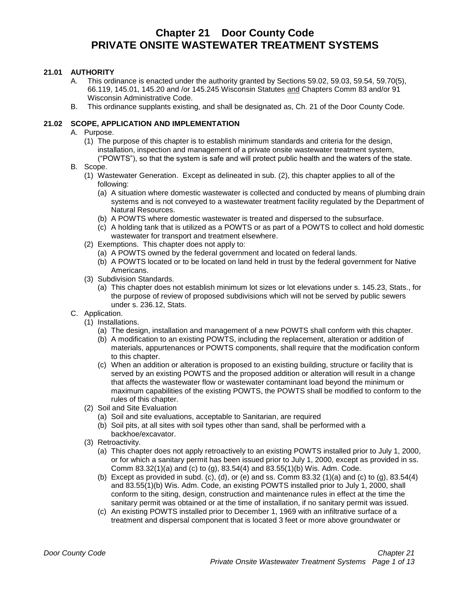# **Chapter 21 Door County Code PRIVATE ONSITE WASTEWATER TREATMENT SYSTEMS**

# **21.01 AUTHORITY**

- A. This ordinance is enacted under the authority granted by Sections 59.02, 59.03, 59.54, 59.70(5), 66.119, 145.01, 145.20 and /or 145.245 Wisconsin Statutes and Chapters Comm 83 and/or 91 Wisconsin Administrative Code.
- B. This ordinance supplants existing, and shall be designated as, Ch. 21 of the Door County Code.

#### **21.02 SCOPE, APPLICATION AND IMPLEMENTATION**

- A. Purpose.
	- (1) The purpose of this chapter is to establish minimum standards and criteria for the design, installation, inspection and management of a private onsite wastewater treatment system, ("POWTS"), so that the system is safe and will protect public health and the waters of the state.
- B. Scope.
	- (1) Wastewater Generation. Except as delineated in sub. (2), this chapter applies to all of the following:
		- (a) A situation where domestic wastewater is collected and conducted by means of plumbing drain systems and is not conveyed to a wastewater treatment facility regulated by the Department of Natural Resources.
		- (b) A POWTS where domestic wastewater is treated and dispersed to the subsurface.
		- (c) A holding tank that is utilized as a POWTS or as part of a POWTS to collect and hold domestic wastewater for transport and treatment elsewhere.
	- (2) Exemptions. This chapter does not apply to:
		- (a) A POWTS owned by the federal government and located on federal lands.
		- (b) A POWTS located or to be located on land held in trust by the federal government for Native Americans.
	- (3) Subdivision Standards.
		- (a) This chapter does not establish minimum lot sizes or lot elevations under s. 145.23, Stats., for the purpose of review of proposed subdivisions which will not be served by public sewers under s. 236.12, Stats.
- C. Application.
	- (1) Installations.
		- (a) The design, installation and management of a new POWTS shall conform with this chapter.
		- (b) A modification to an existing POWTS, including the replacement, alteration or addition of materials, appurtenances or POWTS components, shall require that the modification conform to this chapter.
		- (c) When an addition or alteration is proposed to an existing building, structure or facility that is served by an existing POWTS and the proposed addition or alteration will result in a change that affects the wastewater flow or wastewater contaminant load beyond the minimum or maximum capabilities of the existing POWTS, the POWTS shall be modified to conform to the rules of this chapter.
	- (2) Soil and Site Evaluation
		- (a) Soil and site evaluations, acceptable to Sanitarian, are required
		- (b) Soil pits, at all sites with soil types other than sand, shall be performed with a backhoe/excavator.
	- (3) Retroactivity.
		- (a) This chapter does not apply retroactively to an existing POWTS installed prior to July 1, 2000, or for which a sanitary permit has been issued prior to July 1, 2000, except as provided in ss. Comm 83.32(1)(a) and (c) to (g), 83.54(4) and 83.55(1)(b) Wis. Adm. Code.
		- (b) Except as provided in subd. (c), (d), or (e) and ss. Comm 83.32  $(1)(a)$  and (c) to  $(g)$ , 83.54(4) and 83.55(1)(b) Wis. Adm. Code, an existing POWTS installed prior to July 1, 2000, shall conform to the siting, design, construction and maintenance rules in effect at the time the sanitary permit was obtained or at the time of installation, if no sanitary permit was issued.
		- (c) An existing POWTS installed prior to December 1, 1969 with an infiltrative surface of a treatment and dispersal component that is located 3 feet or more above groundwater or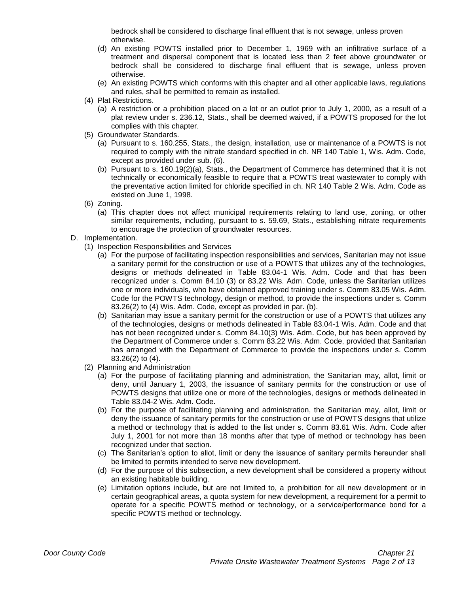bedrock shall be considered to discharge final effluent that is not sewage, unless proven otherwise.

- (d) An existing POWTS installed prior to December 1, 1969 with an infiltrative surface of a treatment and dispersal component that is located less than 2 feet above groundwater or bedrock shall be considered to discharge final effluent that is sewage, unless proven otherwise.
- (e) An existing POWTS which conforms with this chapter and all other applicable laws, regulations and rules, shall be permitted to remain as installed.
- (4) Plat Restrictions.
	- (a) A restriction or a prohibition placed on a lot or an outlot prior to July 1, 2000, as a result of a plat review under s. 236.12, Stats., shall be deemed waived, if a POWTS proposed for the lot complies with this chapter.
- (5) Groundwater Standards.
	- (a) Pursuant to s. 160.255, Stats., the design, installation, use or maintenance of a POWTS is not required to comply with the nitrate standard specified in ch. NR 140 Table 1, Wis. Adm. Code, except as provided under sub. (6).
	- (b) Pursuant to s. 160.19(2)(a), Stats., the Department of Commerce has determined that it is not technically or economically feasible to require that a POWTS treat wastewater to comply with the preventative action limited for chloride specified in ch. NR 140 Table 2 Wis. Adm. Code as existed on June 1, 1998.
- (6) Zoning.
	- (a) This chapter does not affect municipal requirements relating to land use, zoning, or other similar requirements, including, pursuant to s. 59.69, Stats., establishing nitrate requirements to encourage the protection of groundwater resources.
- D. Implementation.
	- (1) Inspection Responsibilities and Services
		- (a) For the purpose of facilitating inspection responsibilities and services, Sanitarian may not issue a sanitary permit for the construction or use of a POWTS that utilizes any of the technologies, designs or methods delineated in Table 83.04-1 Wis. Adm. Code and that has been recognized under s. Comm 84.10 (3) or 83.22 Wis. Adm. Code, unless the Sanitarian utilizes one or more individuals, who have obtained approved training under s. Comm 83.05 Wis. Adm. Code for the POWTS technology, design or method, to provide the inspections under s. Comm 83.26(2) to (4) Wis. Adm. Code, except as provided in par. (b).
		- (b) Sanitarian may issue a sanitary permit for the construction or use of a POWTS that utilizes any of the technologies, designs or methods delineated in Table 83.04-1 Wis. Adm. Code and that has not been recognized under s. Comm 84.10(3) Wis. Adm. Code, but has been approved by the Department of Commerce under s. Comm 83.22 Wis. Adm. Code, provided that Sanitarian has arranged with the Department of Commerce to provide the inspections under s. Comm 83.26(2) to (4).
	- (2) Planning and Administration
		- (a) For the purpose of facilitating planning and administration, the Sanitarian may, allot, limit or deny, until January 1, 2003, the issuance of sanitary permits for the construction or use of POWTS designs that utilize one or more of the technologies, designs or methods delineated in Table 83.04-2 Wis. Adm. Code.
		- (b) For the purpose of facilitating planning and administration, the Sanitarian may, allot, limit or deny the issuance of sanitary permits for the construction or use of POWTS designs that utilize a method or technology that is added to the list under s. Comm 83.61 Wis. Adm. Code after July 1, 2001 for not more than 18 months after that type of method or technology has been recognized under that section.
		- (c) The Sanitarian's option to allot, limit or deny the issuance of sanitary permits hereunder shall be limited to permits intended to serve new development.
		- (d) For the purpose of this subsection, a new development shall be considered a property without an existing habitable building.
		- (e) Limitation options include, but are not limited to, a prohibition for all new development or in certain geographical areas, a quota system for new development, a requirement for a permit to operate for a specific POWTS method or technology, or a service/performance bond for a specific POWTS method or technology.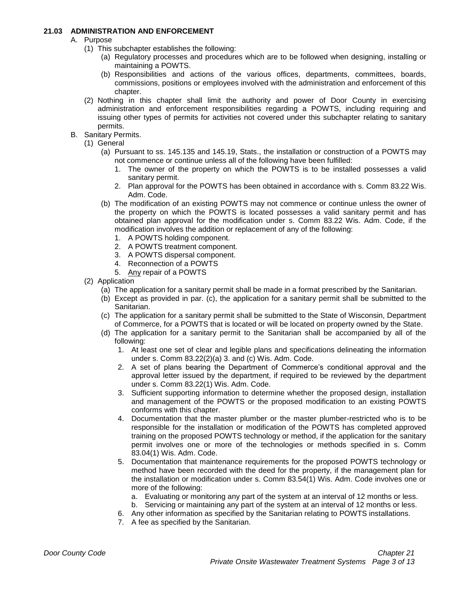#### **21.03 ADMINISTRATION AND ENFORCEMENT**

- A. Purpose
	- (1) This subchapter establishes the following:
		- (a) Regulatory processes and procedures which are to be followed when designing, installing or maintaining a POWTS.
		- (b) Responsibilities and actions of the various offices, departments, committees, boards, commissions, positions or employees involved with the administration and enforcement of this chapter.
	- (2) Nothing in this chapter shall limit the authority and power of Door County in exercising administration and enforcement responsibilities regarding a POWTS, including requiring and issuing other types of permits for activities not covered under this subchapter relating to sanitary permits.
- B. Sanitary Permits.
	- (1) General
		- (a) Pursuant to ss. 145.135 and 145.19, Stats., the installation or construction of a POWTS may not commence or continue unless all of the following have been fulfilled:
			- 1. The owner of the property on which the POWTS is to be installed possesses a valid sanitary permit.
			- 2. Plan approval for the POWTS has been obtained in accordance with s. Comm 83.22 Wis. Adm. Code.
		- (b) The modification of an existing POWTS may not commence or continue unless the owner of the property on which the POWTS is located possesses a valid sanitary permit and has obtained plan approval for the modification under s. Comm 83.22 Wis. Adm. Code, if the modification involves the addition or replacement of any of the following:
			- 1. A POWTS holding component.
			- 2. A POWTS treatment component.
			- 3. A POWTS dispersal component.
			- 4. Reconnection of a POWTS
			- 5. Any repair of a POWTS
	- (2) Application
		- (a) The application for a sanitary permit shall be made in a format prescribed by the Sanitarian.
		- (b) Except as provided in par. (c), the application for a sanitary permit shall be submitted to the Sanitarian.
		- (c) The application for a sanitary permit shall be submitted to the State of Wisconsin, Department of Commerce, for a POWTS that is located or will be located on property owned by the State.
		- (d) The application for a sanitary permit to the Sanitarian shall be accompanied by all of the following:
			- 1. At least one set of clear and legible plans and specifications delineating the information under s. Comm 83.22(2)(a) 3. and (c) Wis. Adm. Code.
			- 2. A set of plans bearing the Department of Commerce's conditional approval and the approval letter issued by the department, if required to be reviewed by the department under s. Comm 83.22(1) Wis. Adm. Code.
			- 3. Sufficient supporting information to determine whether the proposed design, installation and management of the POWTS or the proposed modification to an existing POWTS conforms with this chapter.
			- 4. Documentation that the master plumber or the master plumber-restricted who is to be responsible for the installation or modification of the POWTS has completed approved training on the proposed POWTS technology or method, if the application for the sanitary permit involves one or more of the technologies or methods specified in s. Comm 83.04(1) Wis. Adm. Code.
			- 5. Documentation that maintenance requirements for the proposed POWTS technology or method have been recorded with the deed for the property, if the management plan for the installation or modification under s. Comm 83.54(1) Wis. Adm. Code involves one or more of the following:
				- a. Evaluating or monitoring any part of the system at an interval of 12 months or less.
				- b. Servicing or maintaining any part of the system at an interval of 12 months or less.
			- 6. Any other information as specified by the Sanitarian relating to POWTS installations.
			- 7. A fee as specified by the Sanitarian.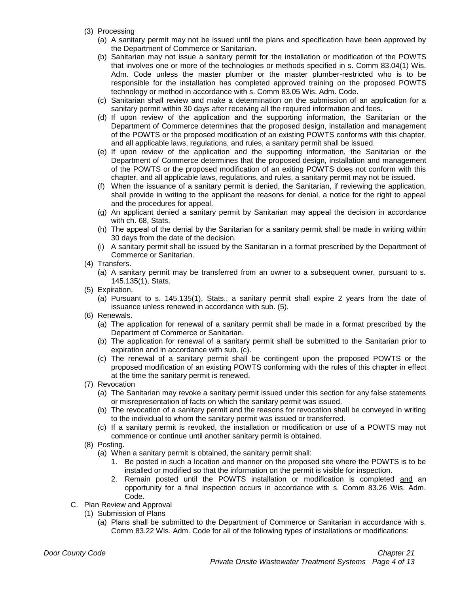- (3) Processing
	- (a) A sanitary permit may not be issued until the plans and specification have been approved by the Department of Commerce or Sanitarian.
	- (b) Sanitarian may not issue a sanitary permit for the installation or modification of the POWTS that involves one or more of the technologies or methods specified in s. Comm 83.04(1) Wis. Adm. Code unless the master plumber or the master plumber-restricted who is to be responsible for the installation has completed approved training on the proposed POWTS technology or method in accordance with s. Comm 83.05 Wis. Adm. Code.
	- (c) Sanitarian shall review and make a determination on the submission of an application for a sanitary permit within 30 days after receiving all the required information and fees.
	- (d) If upon review of the application and the supporting information, the Sanitarian or the Department of Commerce determines that the proposed design, installation and management of the POWTS or the proposed modification of an existing POWTS conforms with this chapter, and all applicable laws, regulations, and rules, a sanitary permit shall be issued.
	- (e) If upon review of the application and the supporting information, the Sanitarian or the Department of Commerce determines that the proposed design, installation and management of the POWTS or the proposed modification of an exiting POWTS does not conform with this chapter, and all applicable laws, regulations, and rules, a sanitary permit may not be issued.
	- (f) When the issuance of a sanitary permit is denied, the Sanitarian, if reviewing the application, shall provide in writing to the applicant the reasons for denial, a notice for the right to appeal and the procedures for appeal.
	- (g) An applicant denied a sanitary permit by Sanitarian may appeal the decision in accordance with ch. 68, Stats.
	- (h) The appeal of the denial by the Sanitarian for a sanitary permit shall be made in writing within 30 days from the date of the decision.
	- (i) A sanitary permit shall be issued by the Sanitarian in a format prescribed by the Department of Commerce or Sanitarian.
- (4) Transfers.
	- (a) A sanitary permit may be transferred from an owner to a subsequent owner, pursuant to s. 145.135(1), Stats.
- (5) Expiration.
	- (a) Pursuant to s. 145.135(1), Stats., a sanitary permit shall expire 2 years from the date of issuance unless renewed in accordance with sub. (5).
- (6) Renewals.
	- (a) The application for renewal of a sanitary permit shall be made in a format prescribed by the Department of Commerce or Sanitarian.
	- (b) The application for renewal of a sanitary permit shall be submitted to the Sanitarian prior to expiration and in accordance with sub. (c).
	- (c) The renewal of a sanitary permit shall be contingent upon the proposed POWTS or the proposed modification of an existing POWTS conforming with the rules of this chapter in effect at the time the sanitary permit is renewed.
- (7) Revocation
	- (a) The Sanitarian may revoke a sanitary permit issued under this section for any false statements or misrepresentation of facts on which the sanitary permit was issued.
	- (b) The revocation of a sanitary permit and the reasons for revocation shall be conveyed in writing to the individual to whom the sanitary permit was issued or transferred.
	- (c) If a sanitary permit is revoked, the installation or modification or use of a POWTS may not commence or continue until another sanitary permit is obtained.
- (8) Posting.
	- (a) When a sanitary permit is obtained, the sanitary permit shall:
		- 1. Be posted in such a location and manner on the proposed site where the POWTS is to be installed or modified so that the information on the permit is visible for inspection.
		- 2. Remain posted until the POWTS installation or modification is completed and an opportunity for a final inspection occurs in accordance with s. Comm 83.26 Wis. Adm. Code.
- C. Plan Review and Approval
	- (1) Submission of Plans
		- (a) Plans shall be submitted to the Department of Commerce or Sanitarian in accordance with s. Comm 83.22 Wis. Adm. Code for all of the following types of installations or modifications: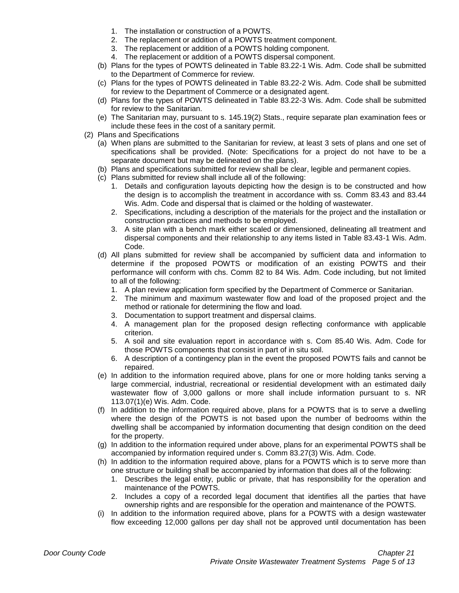- 1. The installation or construction of a POWTS.
- 2. The replacement or addition of a POWTS treatment component.
- 3. The replacement or addition of a POWTS holding component.
- 4. The replacement or addition of a POWTS dispersal component.
- (b) Plans for the types of POWTS delineated in Table 83.22-1 Wis. Adm. Code shall be submitted to the Department of Commerce for review.
- (c) Plans for the types of POWTS delineated in Table 83.22-2 Wis. Adm. Code shall be submitted for review to the Department of Commerce or a designated agent.
- (d) Plans for the types of POWTS delineated in Table 83.22-3 Wis. Adm. Code shall be submitted for review to the Sanitarian.
- (e) The Sanitarian may, pursuant to s. 145.19(2) Stats., require separate plan examination fees or include these fees in the cost of a sanitary permit.
- (2) Plans and Specifications
	- (a) When plans are submitted to the Sanitarian for review, at least 3 sets of plans and one set of specifications shall be provided. (Note: Specifications for a project do not have to be a separate document but may be delineated on the plans).
	- (b) Plans and specifications submitted for review shall be clear, legible and permanent copies.
	- (c) Plans submitted for review shall include all of the following:
		- 1. Details and configuration layouts depicting how the design is to be constructed and how the design is to accomplish the treatment in accordance with ss. Comm 83.43 and 83.44 Wis. Adm. Code and dispersal that is claimed or the holding of wastewater.
		- 2. Specifications, including a description of the materials for the project and the installation or construction practices and methods to be employed.
		- 3. A site plan with a bench mark either scaled or dimensioned, delineating all treatment and dispersal components and their relationship to any items listed in Table 83.43-1 Wis. Adm. Code.
	- (d) All plans submitted for review shall be accompanied by sufficient data and information to determine if the proposed POWTS or modification of an existing POWTS and their performance will conform with chs. Comm 82 to 84 Wis. Adm. Code including, but not limited to all of the following:
		- 1. A plan review application form specified by the Department of Commerce or Sanitarian.
		- 2. The minimum and maximum wastewater flow and load of the proposed project and the method or rationale for determining the flow and load.
		- 3. Documentation to support treatment and dispersal claims.
		- 4. A management plan for the proposed design reflecting conformance with applicable criterion.
		- 5. A soil and site evaluation report in accordance with s. Com 85.40 Wis. Adm. Code for those POWTS components that consist in part of in situ soil.
		- 6. A description of a contingency plan in the event the proposed POWTS fails and cannot be repaired.
	- (e) In addition to the information required above, plans for one or more holding tanks serving a large commercial, industrial, recreational or residential development with an estimated daily wastewater flow of 3,000 gallons or more shall include information pursuant to s. NR 113.07(1)(e) Wis. Adm. Code.
	- (f) In addition to the information required above, plans for a POWTS that is to serve a dwelling where the design of the POWTS is not based upon the number of bedrooms within the dwelling shall be accompanied by information documenting that design condition on the deed for the property.
	- (g) In addition to the information required under above, plans for an experimental POWTS shall be accompanied by information required under s. Comm 83.27(3) Wis. Adm. Code.
	- (h) In addition to the information required above, plans for a POWTS which is to serve more than one structure or building shall be accompanied by information that does all of the following:
		- 1. Describes the legal entity, public or private, that has responsibility for the operation and maintenance of the POWTS.
		- 2. Includes a copy of a recorded legal document that identifies all the parties that have ownership rights and are responsible for the operation and maintenance of the POWTS.
	- (i) In addition to the information required above, plans for a POWTS with a design wastewater flow exceeding 12,000 gallons per day shall not be approved until documentation has been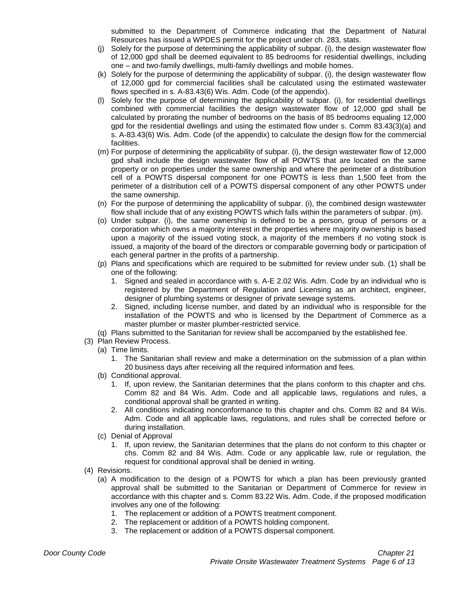submitted to the Department of Commerce indicating that the Department of Natural Resources has issued a WPDES permit for the project under ch. 283, stats.

- (j) Solely for the purpose of determining the applicability of subpar. (i), the design wastewater flow of 12,000 gpd shall be deemed equivalent to 85 bedrooms for residential dwellings, including one – and two-family dwellings, multi-family dwellings and mobile homes.
- (k) Solely for the purpose of determining the applicability of subpar. (i), the design wastewater flow of 12,000 gpd for commercial facilities shall be calculated using the estimated wastewater flows specified in s. A-83.43(6) Wis. Adm. Code (of the appendix).
- (l) Solely for the purpose of determining the applicability of subpar. (i), for residential dwellings combined with commercial facilities the design wastewater flow of 12,000 gpd shall be calculated by prorating the number of bedrooms on the basis of 85 bedrooms equaling 12,000 gpd for the residential dwellings and using the estimated flow under s. Comm 83.43(3)(a) and s. A-83.43(6) Wis. Adm. Code (of the appendix) to calculate the design flow for the commercial facilities.
- (m) For purpose of determining the applicability of subpar. (i), the design wastewater flow of 12,000 gpd shall include the design wastewater flow of all POWTS that are located on the same property or on properties under the same ownership and where the perimeter of a distribution cell of a POWTS dispersal component for one POWTS is less than 1,500 feet from the perimeter of a distribution cell of a POWTS dispersal component of any other POWTS under the same ownership.
- (n) For the purpose of determining the applicability of subpar. (i), the combined design wastewater flow shall include that of any existing POWTS which falls within the parameters of subpar. (m).
- (o) Under subpar. (i), the same ownership is defined to be a person, group of persons or a corporation which owns a majority interest in the properties where majority ownership is based upon a majority of the issued voting stock, a majority of the members if no voting stock is issued, a majority of the board of the directors or comparable governing body or participation of each general partner in the profits of a partnership.
- (p) Plans and specifications which are required to be submitted for review under sub. (1) shall be one of the following:
	- 1. Signed and sealed in accordance with s. A-E 2.02 Wis. Adm. Code by an individual who is registered by the Department of Regulation and Licensing as an architect, engineer, designer of plumbing systems or designer of private sewage systems.
	- 2. Signed, including license number, and dated by an individual who is responsible for the installation of the POWTS and who is licensed by the Department of Commerce as a master plumber or master plumber-restricted service.
- (q) Plans submitted to the Sanitarian for review shall be accompanied by the established fee.
- (3) Plan Review Process.
	- (a) Time limits.
		- 1. The Sanitarian shall review and make a determination on the submission of a plan within 20 business days after receiving all the required information and fees.
	- (b) Conditional approval.
		- 1. If, upon review, the Sanitarian determines that the plans conform to this chapter and chs. Comm 82 and 84 Wis. Adm. Code and all applicable laws, regulations and rules, a conditional approval shall be granted in writing.
		- 2. All conditions indicating nonconformance to this chapter and chs. Comm 82 and 84 Wis. Adm. Code and all applicable laws, regulations, and rules shall be corrected before or during installation.
	- (c) Denial of Approval
		- 1. If, upon review, the Sanitarian determines that the plans do not conform to this chapter or chs. Comm 82 and 84 Wis. Adm. Code or any applicable law, rule or regulation, the request for conditional approval shall be denied in writing.
- (4) Revisions.
	- (a) A modification to the design of a POWTS for which a plan has been previously granted approval shall be submitted to the Sanitarian or Department of Commerce for review in accordance with this chapter and s. Comm 83.22 Wis. Adm. Code, if the proposed modification involves any one of the following:
		- 1. The replacement or addition of a POWTS treatment component.
		- 2. The replacement or addition of a POWTS holding component.
		- 3. The replacement or addition of a POWTS dispersal component.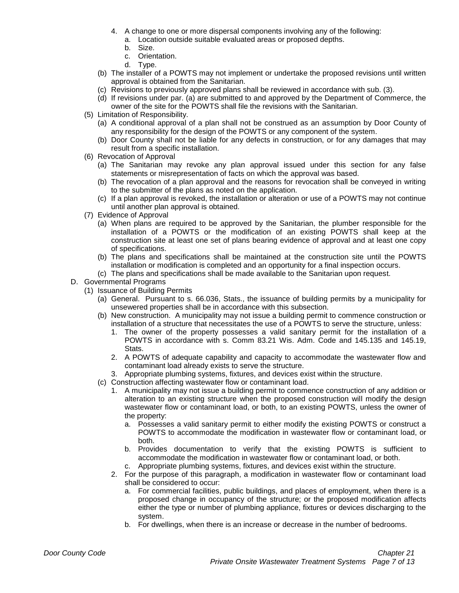- 4. A change to one or more dispersal components involving any of the following:
	- a. Location outside suitable evaluated areas or proposed depths.
	- b. Size.
	- c. Orientation.
	- d. Type.
- (b) The installer of a POWTS may not implement or undertake the proposed revisions until written approval is obtained from the Sanitarian.
- (c) Revisions to previously approved plans shall be reviewed in accordance with sub. (3).
- (d) If revisions under par. (a) are submitted to and approved by the Department of Commerce, the owner of the site for the POWTS shall file the revisions with the Sanitarian.
- (5) Limitation of Responsibility.
	- (a) A conditional approval of a plan shall not be construed as an assumption by Door County of any responsibility for the design of the POWTS or any component of the system.
	- (b) Door County shall not be liable for any defects in construction, or for any damages that may result from a specific installation.
- (6) Revocation of Approval
	- (a) The Sanitarian may revoke any plan approval issued under this section for any false statements or misrepresentation of facts on which the approval was based.
	- (b) The revocation of a plan approval and the reasons for revocation shall be conveyed in writing to the submitter of the plans as noted on the application.
	- (c) If a plan approval is revoked, the installation or alteration or use of a POWTS may not continue until another plan approval is obtained.
- (7) Evidence of Approval
	- (a) When plans are required to be approved by the Sanitarian, the plumber responsible for the installation of a POWTS or the modification of an existing POWTS shall keep at the construction site at least one set of plans bearing evidence of approval and at least one copy of specifications.
	- (b) The plans and specifications shall be maintained at the construction site until the POWTS installation or modification is completed and an opportunity for a final inspection occurs.
	- (c) The plans and specifications shall be made available to the Sanitarian upon request.
- D. Governmental Programs
	- (1) Issuance of Building Permits
		- (a) General. Pursuant to s. 66.036, Stats., the issuance of building permits by a municipality for unsewered properties shall be in accordance with this subsection.
		- (b) New construction. A municipality may not issue a building permit to commence construction or installation of a structure that necessitates the use of a POWTS to serve the structure, unless:
			- 1. The owner of the property possesses a valid sanitary permit for the installation of a POWTS in accordance with s. Comm 83.21 Wis. Adm. Code and 145.135 and 145.19, Stats.
			- 2. A POWTS of adequate capability and capacity to accommodate the wastewater flow and contaminant load already exists to serve the structure.
			- 3. Appropriate plumbing systems, fixtures, and devices exist within the structure.
		- (c) Construction affecting wastewater flow or contaminant load.
			- 1. A municipality may not issue a building permit to commence construction of any addition or alteration to an existing structure when the proposed construction will modify the design wastewater flow or contaminant load, or both, to an existing POWTS, unless the owner of the property:
				- a. Possesses a valid sanitary permit to either modify the existing POWTS or construct a POWTS to accommodate the modification in wastewater flow or contaminant load, or both.
				- b. Provides documentation to verify that the existing POWTS is sufficient to accommodate the modification in wastewater flow or contaminant load, or both.
				- c. Appropriate plumbing systems, fixtures, and devices exist within the structure.
			- 2. For the purpose of this paragraph, a modification in wastewater flow or contaminant load shall be considered to occur:
				- a. For commercial facilities, public buildings, and places of employment, when there is a proposed change in occupancy of the structure; or the proposed modification affects either the type or number of plumbing appliance, fixtures or devices discharging to the system.
				- b. For dwellings, when there is an increase or decrease in the number of bedrooms.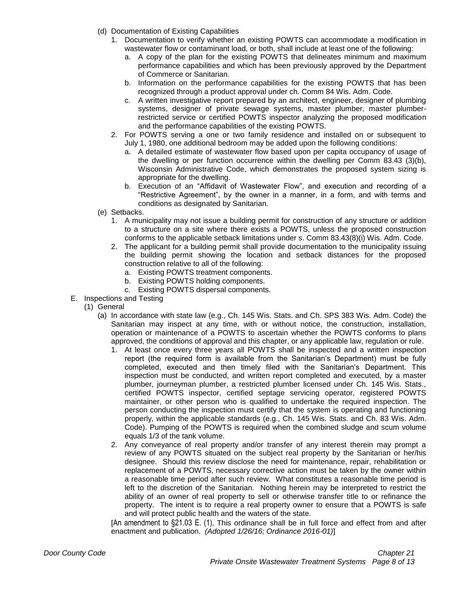- (d) Documentation of Existing Capabilities
	- 1. Documentation to verify whether an existing POWTS can accommodate a modification in wastewater flow or contaminant load, or both, shall include at least one of the following:
		- a. A copy of the plan for the existing POWTS that delineates minimum and maximum performance capabilities and which has been previously approved by the Department of Commerce or Sanitarian.
		- b. Information on the performance capabilities for the existing POWTS that has been recognized through a product approval under ch. Comm 84 Wis. Adm. Code.
		- c. A written investigative report prepared by an architect, engineer, designer of plumbing systems, designer of private sewage systems, master plumber, master plumberrestricted service or certified POWTS inspector analyzing the proposed modification and the performance capabilities of the existing POWTS.
	- 2. For POWTS serving a one or two family residence and installed on or subsequent to July 1, 1980, one additional bedroom may be added upon the following conditions:
		- a. A detailed estimate of wastewater flow based upon per capita occupancy of usage of the dwelling or per function occurrence within the dwelling per Comm 83.43 (3)(b), Wisconsin Administrative Code, which demonstrates the proposed system sizing is appropriate for the dwelling.
		- b. Execution of an "Affidavit of Wastewater Flow", and execution and recording of a "Restrictive Agreement", by the owner in a manner, in a form, and with terms and conditions as designated by Sanitarian.
- (e) Setbacks.
	- 1. A municipality may not issue a building permit for construction of any structure or addition to a structure on a site where there exists a POWTS, unless the proposed construction conforms to the applicable setback limitations under s. Comm 83.43(8)(i) Wis. Adm. Code.
	- 2. The applicant for a building permit shall provide documentation to the municipality issuing the building permit showing the location and setback distances for the proposed construction relative to all of the following:
		- a. Existing POWTS treatment components.
		- b. Existing POWTS holding components.
		- c. Existing POWTS dispersal components.
- E. Inspections and Testing
	- (1) General
		- (a) In accordance with state law (e.g., Ch. 145 Wis. Stats. and Ch. SPS 383 Wis. Adm. Code) the Sanitarian may inspect at any time, with or without notice, the construction, installation, operation or maintenance of a POWTS to ascertain whether the POWTS conforms to plans approved, the conditions of approval and this chapter, or any applicable law, regulation or rule.
			- 1. At least once every three years all POWTS shall be inspected and a written inspection report (the required form is available from the Sanitarian's Department) must be fully completed, executed and then timely filed with the Sanitarian's Department. This inspection must be conducted, and written report completed and executed, by a master plumber, journeyman plumber, a restricted plumber licensed under Ch. 145 Wis. Stats., certified POWTS inspector, certified septage servicing operator, registered POWTS maintainer, or other person who is qualified to undertake the required inspection. The person conducting the inspection must certify that the system is operating and functioning properly, within the applicable standards (e.g., Ch. 145 Wis. Stats. and Ch. 83 Wis. Adm. Code). Pumping of the POWTS is required when the combined sludge and scum volume equals 1/3 of the tank volume.
			- 2. Any conveyance of real property and/or transfer of any interest therein may prompt a review of any POWTS situated on the subject real property by the Sanitarian or her/his designee. Should this review disclose the need for maintenance, repair, rehabilitation or replacement of a POWTS, necessary corrective action must be taken by the owner within a reasonable time period after such review. What constitutes a reasonable time period is left to the discretion of the Sanitarian. Nothing herein may be interpreted to restrict the ability of an owner of real property to sell or otherwise transfer title to or refinance the property. The intent is to require a real property owner to ensure that a POWTS is safe and will protect public health and the waters of the state.

[An amendment to §21.03 E. (1), This ordinance shall be in full force and effect from and after enactment and publication. *(Adopted 1/26/16; Ordinance 2016-01)*]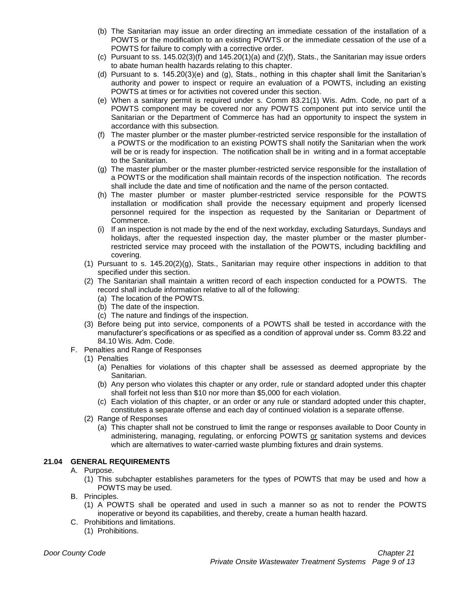- (b) The Sanitarian may issue an order directing an immediate cessation of the installation of a POWTS or the modification to an existing POWTS or the immediate cessation of the use of a POWTS for failure to comply with a corrective order.
- (c) Pursuant to ss.  $145.02(3)(f)$  and  $145.20(1)(a)$  and  $(2)(f)$ , Stats., the Sanitarian may issue orders to abate human health hazards relating to this chapter.
- (d) Pursuant to s. 145.20(3)(e) and (g), Stats., nothing in this chapter shall limit the Sanitarian's authority and power to inspect or require an evaluation of a POWTS, including an existing POWTS at times or for activities not covered under this section.
- (e) When a sanitary permit is required under s. Comm 83.21(1) Wis. Adm. Code, no part of a POWTS component may be covered nor any POWTS component put into service until the Sanitarian or the Department of Commerce has had an opportunity to inspect the system in accordance with this subsection.
- (f) The master plumber or the master plumber-restricted service responsible for the installation of a POWTS or the modification to an existing POWTS shall notify the Sanitarian when the work will be or is ready for inspection. The notification shall be in writing and in a format acceptable to the Sanitarian.
- (g) The master plumber or the master plumber-restricted service responsible for the installation of a POWTS or the modification shall maintain records of the inspection notification. The records shall include the date and time of notification and the name of the person contacted.
- (h) The master plumber or master plumber-restricted service responsible for the POWTS installation or modification shall provide the necessary equipment and properly licensed personnel required for the inspection as requested by the Sanitarian or Department of Commerce.
- (i) If an inspection is not made by the end of the next workday, excluding Saturdays, Sundays and holidays, after the requested inspection day, the master plumber or the master plumberrestricted service may proceed with the installation of the POWTS, including backfilling and covering.
- (1) Pursuant to s. 145.20(2)(g), Stats., Sanitarian may require other inspections in addition to that specified under this section.
- (2) The Sanitarian shall maintain a written record of each inspection conducted for a POWTS. The record shall include information relative to all of the following:
	- (a) The location of the POWTS.
	- (b) The date of the inspection.
	- (c) The nature and findings of the inspection.
- (3) Before being put into service, components of a POWTS shall be tested in accordance with the manufacturer's specifications or as specified as a condition of approval under ss. Comm 83.22 and 84.10 Wis. Adm. Code.
- F. Penalties and Range of Responses
	- (1) Penalties
		- (a) Penalties for violations of this chapter shall be assessed as deemed appropriate by the Sanitarian.
		- (b) Any person who violates this chapter or any order, rule or standard adopted under this chapter shall forfeit not less than \$10 nor more than \$5,000 for each violation.
		- (c) Each violation of this chapter, or an order or any rule or standard adopted under this chapter, constitutes a separate offense and each day of continued violation is a separate offense.
	- (2) Range of Responses
		- (a) This chapter shall not be construed to limit the range or responses available to Door County in administering, managing, regulating, or enforcing POWTS or sanitation systems and devices which are alternatives to water-carried waste plumbing fixtures and drain systems.

# **21.04 GENERAL REQUIREMENTS**

# A. Purpose.

- (1) This subchapter establishes parameters for the types of POWTS that may be used and how a POWTS may be used.
- B. Principles.
	- (1) A POWTS shall be operated and used in such a manner so as not to render the POWTS inoperative or beyond its capabilities, and thereby, create a human health hazard.
- C. Prohibitions and limitations.
	- (1) Prohibitions.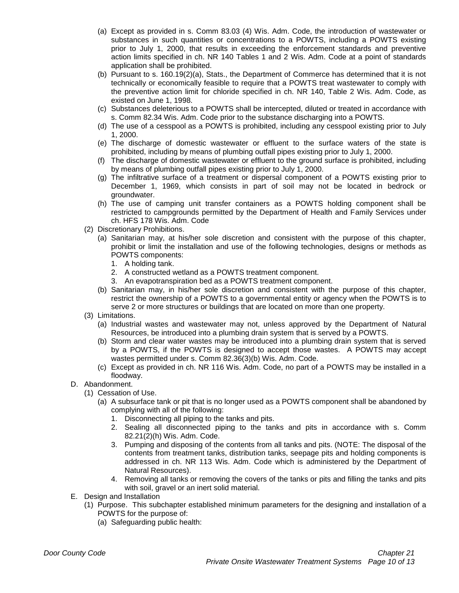- (a) Except as provided in s. Comm 83.03 (4) Wis. Adm. Code, the introduction of wastewater or substances in such quantities or concentrations to a POWTS, including a POWTS existing prior to July 1, 2000, that results in exceeding the enforcement standards and preventive action limits specified in ch. NR 140 Tables 1 and 2 Wis. Adm. Code at a point of standards application shall be prohibited.
- (b) Pursuant to s. 160.19(2)(a), Stats., the Department of Commerce has determined that it is not technically or economically feasible to require that a POWTS treat wastewater to comply with the preventive action limit for chloride specified in ch. NR 140, Table 2 Wis. Adm. Code, as existed on June 1, 1998.
- (c) Substances deleterious to a POWTS shall be intercepted, diluted or treated in accordance with s. Comm 82.34 Wis. Adm. Code prior to the substance discharging into a POWTS.
- (d) The use of a cesspool as a POWTS is prohibited, including any cesspool existing prior to July 1, 2000.
- (e) The discharge of domestic wastewater or effluent to the surface waters of the state is prohibited, including by means of plumbing outfall pipes existing prior to July 1, 2000.
- (f) The discharge of domestic wastewater or effluent to the ground surface is prohibited, including by means of plumbing outfall pipes existing prior to July 1, 2000.
- (g) The infiltrative surface of a treatment or dispersal component of a POWTS existing prior to December 1, 1969, which consists in part of soil may not be located in bedrock or groundwater.
- (h) The use of camping unit transfer containers as a POWTS holding component shall be restricted to campgrounds permitted by the Department of Health and Family Services under ch. HFS 178 Wis. Adm. Code
- (2) Discretionary Prohibitions.
	- (a) Sanitarian may, at his/her sole discretion and consistent with the purpose of this chapter, prohibit or limit the installation and use of the following technologies, designs or methods as POWTS components:
		- 1. A holding tank.
		- 2. A constructed wetland as a POWTS treatment component.
		- 3. An evapotranspiration bed as a POWTS treatment component.
	- (b) Sanitarian may, in his/her sole discretion and consistent with the purpose of this chapter, restrict the ownership of a POWTS to a governmental entity or agency when the POWTS is to serve 2 or more structures or buildings that are located on more than one property.
- (3) Limitations.
	- (a) Industrial wastes and wastewater may not, unless approved by the Department of Natural Resources, be introduced into a plumbing drain system that is served by a POWTS.
	- (b) Storm and clear water wastes may be introduced into a plumbing drain system that is served by a POWTS, if the POWTS is designed to accept those wastes. A POWTS may accept wastes permitted under s. Comm 82.36(3)(b) Wis. Adm. Code.
	- (c) Except as provided in ch. NR 116 Wis. Adm. Code, no part of a POWTS may be installed in a floodway.

# D. Abandonment.

- (1) Cessation of Use.
	- (a) A subsurface tank or pit that is no longer used as a POWTS component shall be abandoned by complying with all of the following:
		- 1. Disconnecting all piping to the tanks and pits.
		- 2. Sealing all disconnected piping to the tanks and pits in accordance with s. Comm 82.21(2)(h) Wis. Adm. Code.
		- 3. Pumping and disposing of the contents from all tanks and pits. (NOTE: The disposal of the contents from treatment tanks, distribution tanks, seepage pits and holding components is addressed in ch. NR 113 Wis. Adm. Code which is administered by the Department of Natural Resources).
		- 4. Removing all tanks or removing the covers of the tanks or pits and filling the tanks and pits with soil, gravel or an inert solid material.
- E. Design and Installation
	- (1) Purpose. This subchapter established minimum parameters for the designing and installation of a POWTS for the purpose of:
		- (a) Safeguarding public health: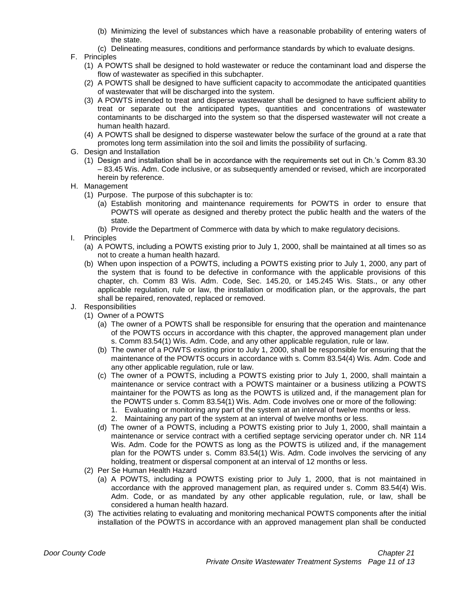- (b) Minimizing the level of substances which have a reasonable probability of entering waters of the state.
- (c) Delineating measures, conditions and performance standards by which to evaluate designs.
- F. Principles
	- (1) A POWTS shall be designed to hold wastewater or reduce the contaminant load and disperse the flow of wastewater as specified in this subchapter.
	- (2) A POWTS shall be designed to have sufficient capacity to accommodate the anticipated quantities of wastewater that will be discharged into the system.
	- (3) A POWTS intended to treat and disperse wastewater shall be designed to have sufficient ability to treat or separate out the anticipated types, quantities and concentrations of wastewater contaminants to be discharged into the system so that the dispersed wastewater will not create a human health hazard.
	- (4) A POWTS shall be designed to disperse wastewater below the surface of the ground at a rate that promotes long term assimilation into the soil and limits the possibility of surfacing.
- G. Design and Installation
	- (1) Design and installation shall be in accordance with the requirements set out in Ch.'s Comm 83.30 – 83.45 Wis. Adm. Code inclusive, or as subsequently amended or revised, which are incorporated herein by reference.
- H. Management
	- (1) Purpose. The purpose of this subchapter is to:
		- (a) Establish monitoring and maintenance requirements for POWTS in order to ensure that POWTS will operate as designed and thereby protect the public health and the waters of the state.
		- (b) Provide the Department of Commerce with data by which to make regulatory decisions.
- I. Principles
	- (a) A POWTS, including a POWTS existing prior to July 1, 2000, shall be maintained at all times so as not to create a human health hazard.
	- (b) When upon inspection of a POWTS, including a POWTS existing prior to July 1, 2000, any part of the system that is found to be defective in conformance with the applicable provisions of this chapter, ch. Comm 83 Wis. Adm. Code, Sec. 145.20, or 145.245 Wis. Stats., or any other applicable regulation, rule or law, the installation or modification plan, or the approvals, the part shall be repaired, renovated, replaced or removed.
- J. Responsibilities
	- (1) Owner of a POWTS
		- (a) The owner of a POWTS shall be responsible for ensuring that the operation and maintenance of the POWTS occurs in accordance with this chapter, the approved management plan under s. Comm 83.54(1) Wis. Adm. Code, and any other applicable regulation, rule or law.
		- (b) The owner of a POWTS existing prior to July 1, 2000, shall be responsible for ensuring that the maintenance of the POWTS occurs in accordance with s. Comm 83.54(4) Wis. Adm. Code and any other applicable regulation, rule or law.
		- (c) The owner of a POWTS, including a POWTS existing prior to July 1, 2000, shall maintain a maintenance or service contract with a POWTS maintainer or a business utilizing a POWTS maintainer for the POWTS as long as the POWTS is utilized and, if the management plan for the POWTS under s. Comm 83.54(1) Wis. Adm. Code involves one or more of the following:
			- 1. Evaluating or monitoring any part of the system at an interval of twelve months or less.
			- 2. Maintaining any part of the system at an interval of twelve months or less.
		- (d) The owner of a POWTS, including a POWTS existing prior to July 1, 2000, shall maintain a maintenance or service contract with a certified septage servicing operator under ch. NR 114 Wis. Adm. Code for the POWTS as long as the POWTS is utilized and, if the management plan for the POWTS under s. Comm 83.54(1) Wis. Adm. Code involves the servicing of any holding, treatment or dispersal component at an interval of 12 months or less.
	- (2) Per Se Human Health Hazard
		- (a) A POWTS, including a POWTS existing prior to July 1, 2000, that is not maintained in accordance with the approved management plan, as required under s. Comm 83.54(4) Wis. Adm. Code, or as mandated by any other applicable regulation, rule, or law, shall be considered a human health hazard.
	- (3) The activities relating to evaluating and monitoring mechanical POWTS components after the initial installation of the POWTS in accordance with an approved management plan shall be conducted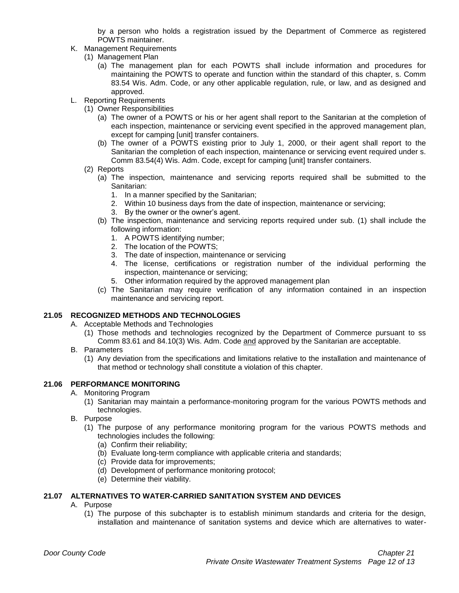by a person who holds a registration issued by the Department of Commerce as registered POWTS maintainer.

- K. Management Requirements
	- (1) Management Plan
		- (a) The management plan for each POWTS shall include information and procedures for maintaining the POWTS to operate and function within the standard of this chapter, s. Comm 83.54 Wis. Adm. Code, or any other applicable regulation, rule, or law, and as designed and approved.
- L. Reporting Requirements
	- (1) Owner Responsibilities
		- (a) The owner of a POWTS or his or her agent shall report to the Sanitarian at the completion of each inspection, maintenance or servicing event specified in the approved management plan, except for camping [unit] transfer containers.
		- (b) The owner of a POWTS existing prior to July 1, 2000, or their agent shall report to the Sanitarian the completion of each inspection, maintenance or servicing event required under s. Comm 83.54(4) Wis. Adm. Code, except for camping [unit] transfer containers.
	- (2) Reports
		- (a) The inspection, maintenance and servicing reports required shall be submitted to the Sanitarian:
			- 1. In a manner specified by the Sanitarian;
			- 2. Within 10 business days from the date of inspection, maintenance or servicing;
			- 3. By the owner or the owner's agent.
		- (b) The inspection, maintenance and servicing reports required under sub. (1) shall include the following information:
			- 1. A POWTS identifying number;
			- 2. The location of the POWTS;
			- 3. The date of inspection, maintenance or servicing
			- 4. The license, certifications or registration number of the individual performing the inspection, maintenance or servicing;
			- 5. Other information required by the approved management plan
		- (c) The Sanitarian may require verification of any information contained in an inspection maintenance and servicing report.

# **21.05 RECOGNIZED METHODS AND TECHNOLOGIES**

A. Acceptable Methods and Technologies

- (1) Those methods and technologies recognized by the Department of Commerce pursuant to ss Comm 83.61 and 84.10(3) Wis. Adm. Code and approved by the Sanitarian are acceptable.
- B. Parameters
	- (1) Any deviation from the specifications and limitations relative to the installation and maintenance of that method or technology shall constitute a violation of this chapter.

#### **21.06 PERFORMANCE MONITORING**

- A. Monitoring Program
	- (1) Sanitarian may maintain a performance-monitoring program for the various POWTS methods and technologies.
- B. Purpose
	- (1) The purpose of any performance monitoring program for the various POWTS methods and technologies includes the following:
		- (a) Confirm their reliability;
		- (b) Evaluate long-term compliance with applicable criteria and standards;
		- (c) Provide data for improvements;
		- (d) Development of performance monitoring protocol;
		- (e) Determine their viability.

# **21.07 ALTERNATIVES TO WATER-CARRIED SANITATION SYSTEM AND DEVICES**

- A. Purpose
	- (1) The purpose of this subchapter is to establish minimum standards and criteria for the design, installation and maintenance of sanitation systems and device which are alternatives to water-